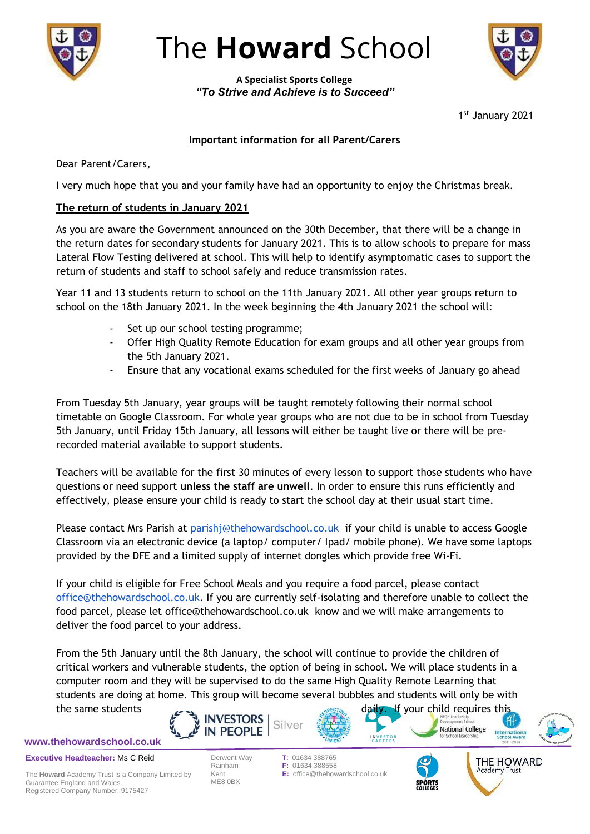

## The **Howard** School

**A Specialist Sports College** *"To Strive and Achieve is to Succeed"*

1 st January 2021

## **Important information for all Parent/Carers**

Dear Parent/Carers,

I very much hope that you and your family have had an opportunity to enjoy the Christmas break.

## **The return of students in January 2021**

As you are aware the Government announced on the 30th December, that there will be a change in the return dates for secondary students for January 2021. This is to allow schools to prepare for mass Lateral Flow Testing delivered at school. This will help to identify asymptomatic cases to support the return of students and staff to school safely and reduce transmission rates.

Year 11 and 13 students return to school on the 11th January 2021. All other year groups return to school on the 18th January 2021. In the week beginning the 4th January 2021 the school will:

- Set up our school testing programme;
- Offer High Quality Remote Education for exam groups and all other year groups from the 5th January 2021.
- Ensure that any vocational exams scheduled for the first weeks of January go ahead

From Tuesday 5th January, year groups will be taught remotely following their normal school timetable on Google Classroom. For whole year groups who are not due to be in school from Tuesday 5th January, until Friday 15th January, all lessons will either be taught live or there will be prerecorded material available to support students.

Teachers will be available for the first 30 minutes of every lesson to support those students who have questions or need support **unless the staff are unwell**. In order to ensure this runs efficiently and effectively, please ensure your child is ready to start the school day at their usual start time.

Please contact Mrs Parish at [parishj@thehowardschool.co.uk](mailto:parishj@thehowardschool.co.uk) if your child is unable to access Google Classroom via an electronic device (a laptop/ computer/ Ipad/ mobile phone). We have some laptops provided by the DFE and a limited supply of internet dongles which provide free Wi-Fi.

If your child is eligible for Free School Meals and you require a food parcel, please contact [office@thehowardschool.co.uk.](mailto:office@thehowardschool.co.uk) If you are currently self-isolating and therefore unable to collect the food parcel, please let office@thehowardschool.co.uk know and we will make arrangements to deliver the food parcel to your address.

From the 5th January until the 8th January, the school will continue to provide the children of critical workers and vulnerable students, the option of being in school. We will place students in a computer room and they will be supervised to do the same High Quality Remote Learning that students are doing at home. This group will become several bubbles and students will only be with the same students  $\sim$ 

Silver

**www.thehowardschool.co.uk**

**Executive Headteacher:** Ms C Reid

The **Howard** Academy Trust is a Company Limited by Guarantee England and Wales. Registered Company Number: 9175427

ME8 0BX

**INVESTORS** 

**IN PEOPLE** 

**INVESTOR**<br>CAREERS Derwent Way **T**: 01634 388765 Rainham **F:** 01634 388558 Kent **E:** office@thehowardschool.co.uk



National College



**Internation**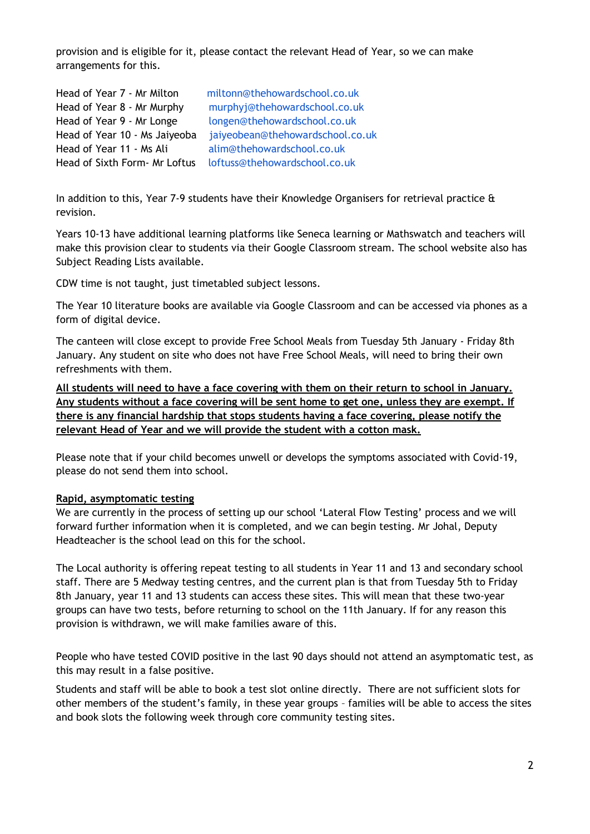provision and is eligible for it, please contact the relevant Head of Year, so we can make arrangements for this.

| Head of Year 7 - Mr Milton    | miltonn@thehowardschool.co.uk    |
|-------------------------------|----------------------------------|
| Head of Year 8 - Mr Murphy    | murphyj@thehowardschool.co.uk    |
| Head of Year 9 - Mr Longe     | longen@thehowardschool.co.uk     |
| Head of Year 10 - Ms Jaiyeoba | jaiyeobean@thehowardschool.co.uk |
| Head of Year 11 - Ms Ali      | alim@thehowardschool.co.uk       |
| Head of Sixth Form- Mr Loftus | loftuss@thehowardschool.co.uk    |

In addition to this, Year 7-9 students have their Knowledge Organisers for retrieval practice  $\mathbf \hat{a}$ revision.

Years 10-13 have additional learning platforms like Seneca learning or Mathswatch and teachers will make this provision clear to students via their Google Classroom stream. The school website also has Subject Reading Lists available.

CDW time is not taught, just timetabled subject lessons.

The Year 10 literature books are available via Google Classroom and can be accessed via phones as a form of digital device.

The canteen will close except to provide Free School Meals from Tuesday 5th January - Friday 8th January. Any student on site who does not have Free School Meals, will need to bring their own refreshments with them.

**All students will need to have a face covering with them on their return to school in January. Any students without a face covering will be sent home to get one, unless they are exempt. If there is any financial hardship that stops students having a face covering, please notify the relevant Head of Year and we will provide the student with a cotton mask.**

Please note that if your child becomes unwell or develops the symptoms associated with Covid-19, please do not send them into school.

## **Rapid, asymptomatic testing**

We are currently in the process of setting up our school 'Lateral Flow Testing' process and we will forward further information when it is completed, and we can begin testing. Mr Johal, Deputy Headteacher is the school lead on this for the school.

The Local authority is offering repeat testing to all students in Year 11 and 13 and secondary school staff. There are 5 Medway testing centres, and the current plan is that from Tuesday 5th to Friday 8th January, year 11 and 13 students can access these sites. This will mean that these two-year groups can have two tests, before returning to school on the 11th January. If for any reason this provision is withdrawn, we will make families aware of this.

People who have tested COVID positive in the last 90 days should not attend an asymptomatic test, as this may result in a false positive.

Students and staff will be able to book a test slot online directly. There are not sufficient slots for other members of the student's family, in these year groups – families will be able to access the sites and book slots the following week through core community testing sites.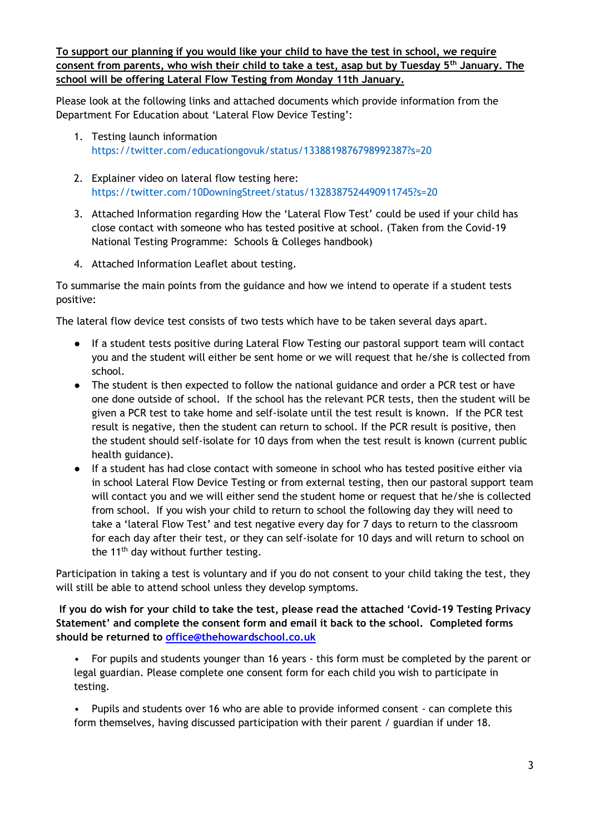**To support our planning if you would like your child to have the test in school, we require consent from parents, who wish their child to take a test, asap but by Tuesday 5th January. The school will be offering Lateral Flow Testing from Monday 11th January.** 

Please look at the following links and attached documents which provide information from the Department For Education about 'Lateral Flow Device Testing':

- 1. Testing launch information <https://twitter.com/educationgovuk/status/1338819876798992387?s=20>
- 2. Explainer video on lateral flow testing here: <https://twitter.com/10DowningStreet/status/1328387524490911745?s=20>
- 3. Attached Information regarding How the 'Lateral Flow Test' could be used if your child has close contact with someone who has tested positive at school. (Taken from the Covid-19 National Testing Programme: Schools & Colleges handbook)
- 4. Attached Information Leaflet about testing.

To summarise the main points from the guidance and how we intend to operate if a student tests positive:

The lateral flow device test consists of two tests which have to be taken several days apart.

- If a student tests positive during Lateral Flow Testing our pastoral support team will contact you and the student will either be sent home or we will request that he/she is collected from school.
- The student is then expected to follow the national guidance and order a PCR test or have one done outside of school. If the school has the relevant PCR tests, then the student will be given a PCR test to take home and self-isolate until the test result is known. If the PCR test result is negative, then the student can return to school. If the PCR result is positive, then the student should self-isolate for 10 days from when the test result is known (current public health guidance).
- If a student has had close contact with someone in school who has tested positive either via in school Lateral Flow Device Testing or from external testing, then our pastoral support team will contact you and we will either send the student home or request that he/she is collected from school. If you wish your child to return to school the following day they will need to take a 'lateral Flow Test' and test negative every day for 7 days to return to the classroom for each day after their test, or they can self-isolate for 10 days and will return to school on the  $11<sup>th</sup>$  day without further testing.

Participation in taking a test is voluntary and if you do not consent to your child taking the test, they will still be able to attend school unless they develop symptoms.

**If you do wish for your child to take the test, please read the attached 'Covid-19 Testing Privacy Statement' and complete the consent form and email it back to the school. Completed forms should be returned to [office@thehowardschool.co.uk](mailto:office@thehowardschool.co.uk)**

• For pupils and students younger than 16 years - this form must be completed by the parent or legal guardian. Please complete one consent form for each child you wish to participate in testing.

• Pupils and students over 16 who are able to provide informed consent - can complete this form themselves, having discussed participation with their parent / guardian if under 18.